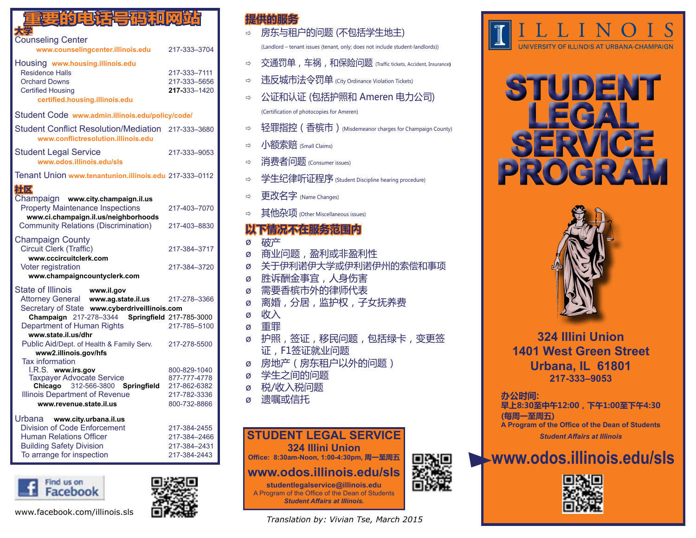| 的电话号码和双路                                                                                                                                                                                 |                                                                              |
|------------------------------------------------------------------------------------------------------------------------------------------------------------------------------------------|------------------------------------------------------------------------------|
| <b>Counseling Center</b><br>www.counselingcenter.illinois.edu                                                                                                                            | 217-333-3704                                                                 |
| Housing www.housing.illinois.edu<br><b>Residence Halls</b><br><b>Orchard Downs</b><br><b>Certified Housing</b><br>certified.housing.illinois.edu                                         | 217-333-7111<br>217-333-5656<br>217-333-1420                                 |
| Student Code www.admin.illinois.edu/policy/code/                                                                                                                                         |                                                                              |
| <b>Student Conflict Resolution/Mediation</b><br>www.conflictresolution.illinois.edu                                                                                                      | 217-333-3680                                                                 |
| <b>Student Legal Service</b><br>www.odos.illinois.edu/sls                                                                                                                                | 217-333-9053                                                                 |
| Tenant Union www.tenantunion.illinois.edu 217-333-0112                                                                                                                                   |                                                                              |
| 社区                                                                                                                                                                                       |                                                                              |
| Champaign www.city.champaign.il.us<br><b>Property Maintenance Inspections</b><br>www.ci.champaign.il.us/neighborhoods                                                                    | 217-403-7070                                                                 |
| <b>Community Relations (Discrimination)</b>                                                                                                                                              | 217-403-8830                                                                 |
| <b>Champaign County</b><br>Circuit Clerk (Traffic)<br>www.cccircuitclerk.com                                                                                                             | 217-384-3717                                                                 |
| Voter registration<br>www.champaigncountyclerk.com                                                                                                                                       | 217-384-3720                                                                 |
| State of Illinois<br>www.il.gov<br>Attorney General www.ag.state.il.us<br>Secretary of State www.cyberdriveillinois.com                                                                  | 217-278-3366                                                                 |
| Champaign 217-278-3344<br>Department of Human Rights                                                                                                                                     | <b>Springfield 217-785-3000</b>                                              |
| www.state.il.us/dhr<br>Public Aid/Dept. of Health & Family Serv.<br>www2.illinois.gov/hfs                                                                                                | 217-785-5100<br>217-278-5500                                                 |
| <b>Tax information</b><br>I.R.S. www.irs.gov<br><b>Taxpayer Advocate Service</b><br>Chicago 312-566-3800 Springfield<br><b>Illinois Department of Revenue</b><br>www.revenue.state.il.us | 800-829-1040<br>877-777-4778<br>217-862-6382<br>217-782-3336<br>800-732-8866 |
| Urbana www.city.urbana.il.us<br><b>Division of Code Enforcement</b><br><b>Human Relations Officer</b><br><b>Building Safety Division</b><br>To arrange for inspection                    | 217-384-2455<br>217-384-2466<br>217-384-2431<br>217-384-2443                 |



www.facebook.com/illinois.sls



### **提供的服务**

- 房东与租户的问题 (不包括学生地主) (Landlord – tenant issues (tenant, only; does not include student-landlords))
- ⇨ 交通罚单,车祸,和保险问题 (Traffic tickets, Accident, Insurance)
- □ 违反城市法令罚单 (City Ordinance Violation Tickets)
- 公证和认证 (包括护照和 Ameren 电力公司) (Certification of photocopies for Ameren)
- ⇨ 轻罪指控 (香槟市) (Misdemeanor charges for Champaign County)
- $\Rightarrow$  小额索赔 (Small Claims)
- □ 消费者问题 (Consumer issues)
- ⇨ 学生纪律听证程序 (Student Discipline hearing procedure)
- 更改名字 (Name Changes)
- **⇒ 其他杂项** (Other Miscellaneous issues)

### 下情况不在服务范围内

ø 破产 ø 商业问题,盈利或非盈利性 ø 关于伊利诺伊大学或伊利诺伊州的索偿和事项 ø 胜诉酬金事宜,人身伤害 ø 需要香槟市外的律师代表 ø 离婚,分居,监护权,子女抚养费 ø 收入 ø 重罪 ø 护照,签证,移民问题,包括绿卡,变更签 证,F1签证就业问题 ø 房地产(房东租户以外的问题) ø 学生之间的问题 ø 税/收入税问题 溃嘱或信托 **STUDENT LEGAL SERVICE**



**studentlegalservice@illinois.edu** A Program of the Office of the Dean of Students *Student Affairs at Illinois.*

*Translation by: Vivian Tse, March 2015*



# **STUDENT LEGAL SERVICE PROGRAM**



**324 Illini Union 1401 West Green Street Urbana, IL 61801 217-333–9053**

### **办公时间:**

**早上8:30至中午12:00,下午1:00至下午4:30 (每周一至周五) A Program of the Office of the Dean of Students** *Student Affairs at Illinois*

## **www.odos.illinois.edu/sls**